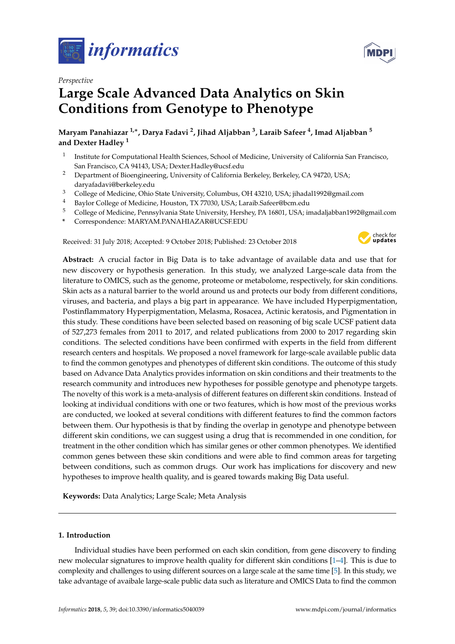



# *Perspective* **Large Scale Advanced Data Analytics on Skin Conditions from Genotype to Phenotype**

**Maryam Panahiazar 1,**<sup>∗</sup> **, Darya Fadavi <sup>2</sup> , Jihad Aljabban <sup>3</sup> , Laraib Safeer <sup>4</sup> , Imad Aljabban <sup>5</sup> and Dexter Hadley <sup>1</sup>**

- 1 Institute for Computational Health Sciences, School of Medicine, University of California San Francisco, San Francisco, CA 94143, USA; Dexter.Hadley@ucsf.edu
- <sup>2</sup> Department of Bioengineering, University of California Berkeley, Berkeley, CA 94720, USA; daryafadavi@berkeley.edu
- <sup>3</sup> College of Medicine, Ohio State University, Columbus, OH 43210, USA; jihadal1992@gmail.com
- <sup>4</sup> Baylor College of Medicine, Houston, TX 77030, USA; Laraib.Safeer@bcm.edu
- <sup>5</sup> College of Medicine, Pennsylvania State University, Hershey, PA 16801, USA; imadaljabban1992@gmail.com
- **\*** Correspondence: MARYAM.PANAHIAZAR@UCSF.EDU

Received: 31 July 2018; Accepted: 9 October 2018; Published: 23 October 2018



**Abstract:** A crucial factor in Big Data is to take advantage of available data and use that for new discovery or hypothesis generation. In this study, we analyzed Large-scale data from the literature to OMICS, such as the genome, proteome or metabolome, respectively, for skin conditions. Skin acts as a natural barrier to the world around us and protects our body from different conditions, viruses, and bacteria, and plays a big part in appearance. We have included Hyperpigmentation, Postinflammatory Hyperpigmentation, Melasma, Rosacea, Actinic keratosis, and Pigmentation in this study. These conditions have been selected based on reasoning of big scale UCSF patient data of 527,273 females from 2011 to 2017, and related publications from 2000 to 2017 regarding skin conditions. The selected conditions have been confirmed with experts in the field from different research centers and hospitals. We proposed a novel framework for large-scale available public data to find the common genotypes and phenotypes of different skin conditions. The outcome of this study based on Advance Data Analytics provides information on skin conditions and their treatments to the research community and introduces new hypotheses for possible genotype and phenotype targets. The novelty of this work is a meta-analysis of different features on different skin conditions. Instead of looking at individual conditions with one or two features, which is how most of the previous works are conducted, we looked at several conditions with different features to find the common factors between them. Our hypothesis is that by finding the overlap in genotype and phenotype between different skin conditions, we can suggest using a drug that is recommended in one condition, for treatment in the other condition which has similar genes or other common phenotypes. We identified common genes between these skin conditions and were able to find common areas for targeting between conditions, such as common drugs. Our work has implications for discovery and new hypotheses to improve health quality, and is geared towards making Big Data useful.

**Keywords:** Data Analytics; Large Scale; Meta Analysis

# **1. Introduction**

Individual studies have been performed on each skin condition, from gene discovery to finding new molecular signatures to improve health quality for different skin conditions [\[1–](#page-8-0)[4\]](#page-8-1). This is due to complexity and challenges to using different sources on a large scale at the same time [\[5\]](#page-8-2). In this study, we take advantage of avaibale large-scale public data such as literature and OMICS Data to find the common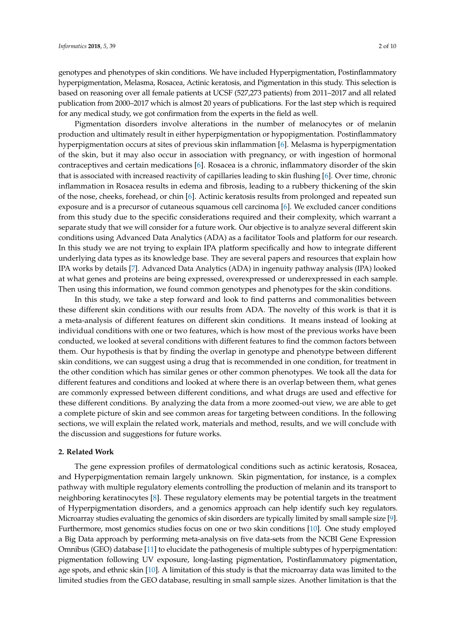genotypes and phenotypes of skin conditions. We have included Hyperpigmentation, Postinflammatory hyperpigmentation, Melasma, Rosacea, Actinic keratosis, and Pigmentation in this study. This selection is based on reasoning over all female patients at UCSF (527,273 patients) from 2011–2017 and all related publication from 2000–2017 which is almost 20 years of publications. For the last step which is required for any medical study, we got confirmation from the experts in the field as well.

Pigmentation disorders involve alterations in the number of melanocytes or of melanin production and ultimately result in either hyperpigmentation or hypopigmentation. Postinflammatory hyperpigmentation occurs at sites of previous skin inflammation [\[6\]](#page-8-3). Melasma is hyperpigmentation of the skin, but it may also occur in association with pregnancy, or with ingestion of hormonal contraceptives and certain medications [\[6\]](#page-8-3). Rosacea is a chronic, inflammatory disorder of the skin that is associated with increased reactivity of capillaries leading to skin flushing [\[6\]](#page-8-3). Over time, chronic inflammation in Rosacea results in edema and fibrosis, leading to a rubbery thickening of the skin of the nose, cheeks, forehead, or chin [\[6\]](#page-8-3). Actinic keratosis results from prolonged and repeated sun exposure and is a precursor of cutaneous squamous cell carcinoma [\[6\]](#page-8-3). We excluded cancer conditions from this study due to the specific considerations required and their complexity, which warrant a separate study that we will consider for a future work. Our objective is to analyze several different skin conditions using Advanced Data Analytics (ADA) as a facilitator Tools and platform for our research. In this study we are not trying to explain IPA platform specifically and how to integrate different underlying data types as its knowledge base. They are several papers and resources that explain how IPA works by details [\[7\]](#page-8-4). Advanced Data Analytics (ADA) in ingenuity pathway analysis (IPA) looked at what genes and proteins are being expressed, overexpressed or underexpressed in each sample. Then using this information, we found common genotypes and phenotypes for the skin conditions.

In this study, we take a step forward and look to find patterns and commonalities between these different skin conditions with our results from ADA. The novelty of this work is that it is a meta-analysis of different features on different skin conditions. It means instead of looking at individual conditions with one or two features, which is how most of the previous works have been conducted, we looked at several conditions with different features to find the common factors between them. Our hypothesis is that by finding the overlap in genotype and phenotype between different skin conditions, we can suggest using a drug that is recommended in one condition, for treatment in the other condition which has similar genes or other common phenotypes. We took all the data for different features and conditions and looked at where there is an overlap between them, what genes are commonly expressed between different conditions, and what drugs are used and effective for these different conditions. By analyzing the data from a more zoomed-out view, we are able to get a complete picture of skin and see common areas for targeting between conditions. In the following sections, we will explain the related work, materials and method, results, and we will conclude with the discussion and suggestions for future works.

## **2. Related Work**

The gene expression profiles of dermatological conditions such as actinic keratosis, Rosacea, and Hyperpigmentation remain largely unknown. Skin pigmentation, for instance, is a complex pathway with multiple regulatory elements controlling the production of melanin and its transport to neighboring keratinocytes [\[8\]](#page-8-5). These regulatory elements may be potential targets in the treatment of Hyperpigmentation disorders, and a genomics approach can help identify such key regulators. Microarray studies evaluating the genomics of skin disorders are typically limited by small sample size [\[9\]](#page-8-6). Furthermore, most genomics studies focus on one or two skin conditions [\[10\]](#page-8-7). One study employed a Big Data approach by performing meta-analysis on five data-sets from the NCBI Gene Expression Omnibus (GEO) database [\[11\]](#page-8-8) to elucidate the pathogenesis of multiple subtypes of hyperpigmentation: pigmentation following UV exposure, long-lasting pigmentation, Postinflammatory pigmentation, age spots, and ethnic skin [\[10\]](#page-8-7). A limitation of this study is that the microarray data was limited to the limited studies from the GEO database, resulting in small sample sizes. Another limitation is that the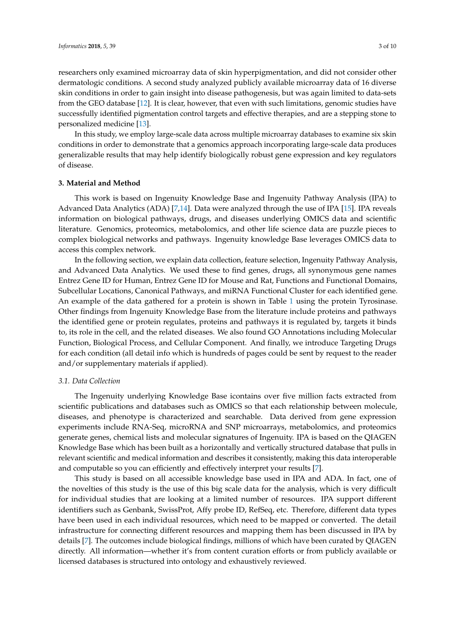researchers only examined microarray data of skin hyperpigmentation, and did not consider other dermatologic conditions. A second study analyzed publicly available microarray data of 16 diverse skin conditions in order to gain insight into disease pathogenesis, but was again limited to data-sets from the GEO database [\[12\]](#page-8-9). It is clear, however, that even with such limitations, genomic studies have successfully identified pigmentation control targets and effective therapies, and are a stepping stone to personalized medicine [\[13\]](#page-8-10).

In this study, we employ large-scale data across multiple microarray databases to examine six skin conditions in order to demonstrate that a genomics approach incorporating large-scale data produces generalizable results that may help identify biologically robust gene expression and key regulators of disease.

## **3. Material and Method**

This work is based on Ingenuity Knowledge Base and Ingenuity Pathway Analysis (IPA) to Advanced Data Analytics (ADA) [\[7](#page-8-4)[,14\]](#page-8-11). Data were analyzed through the use of IPA [\[15\]](#page-9-0). IPA reveals information on biological pathways, drugs, and diseases underlying OMICS data and scientific literature. Genomics, proteomics, metabolomics, and other life science data are puzzle pieces to complex biological networks and pathways. Ingenuity knowledge Base leverages OMICS data to access this complex network.

In the following section, we explain data collection, feature selection, Ingenuity Pathway Analysis, and Advanced Data Analytics. We used these to find genes, drugs, all synonymous gene names Entrez Gene ID for Human, Entrez Gene ID for Mouse and Rat, Functions and Functional Domains, Subcellular Locations, Canonical Pathways, and miRNA Functional Cluster for each identified gene. An example of the data gathered for a protein is shown in Table [1](#page-3-0) using the protein Tyrosinase. Other findings from Ingenuity Knowledge Base from the literature include proteins and pathways the identified gene or protein regulates, proteins and pathways it is regulated by, targets it binds to, its role in the cell, and the related diseases. We also found GO Annotations including Molecular Function, Biological Process, and Cellular Component. And finally, we introduce Targeting Drugs for each condition (all detail info which is hundreds of pages could be sent by request to the reader and/or supplementary materials if applied).

# *3.1. Data Collection*

The Ingenuity underlying Knowledge Base icontains over five million facts extracted from scientific publications and databases such as OMICS so that each relationship between molecule, diseases, and phenotype is characterized and searchable. Data derived from gene expression experiments include RNA-Seq, microRNA and SNP microarrays, metabolomics, and proteomics generate genes, chemical lists and molecular signatures of Ingenuity. IPA is based on the QIAGEN Knowledge Base which has been built as a horizontally and vertically structured database that pulls in relevant scientific and medical information and describes it consistently, making this data interoperable and computable so you can efficiently and effectively interpret your results [\[7\]](#page-8-4).

This study is based on all accessible knowledge base used in IPA and ADA. In fact, one of the novelties of this study is the use of this big scale data for the analysis, which is very difficult for individual studies that are looking at a limited number of resources. IPA support different identifiers such as Genbank, SwissProt, Affy probe ID, RefSeq, etc. Therefore, different data types have been used in each individual resources, which need to be mapped or converted. The detail infrastructure for connecting different resources and mapping them has been discussed in IPA by details [\[7\]](#page-8-4). The outcomes include biological findings, millions of which have been curated by QIAGEN directly. All information—whether it's from content curation efforts or from publicly available or licensed databases is structured into ontology and exhaustively reviewed.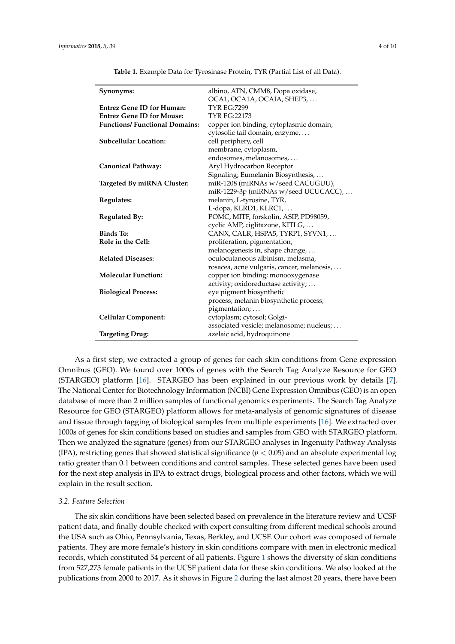<span id="page-3-0"></span>

| Synonyms:                            | albino, ATN, CMM8, Dopa oxidase,           |  |  |
|--------------------------------------|--------------------------------------------|--|--|
|                                      | OCA1, OCA1A, OCAIA, SHEP3,                 |  |  |
| <b>Entrez Gene ID for Human:</b>     | <b>TYR EG:7299</b>                         |  |  |
| <b>Entrez Gene ID for Mouse:</b>     | <b>TYR EG:22173</b>                        |  |  |
| <b>Functions/Functional Domains:</b> | copper ion binding, cytoplasmic domain,    |  |  |
|                                      | cytosolic tail domain, enzyme,             |  |  |
| <b>Subcellular Location:</b>         | cell periphery, cell                       |  |  |
|                                      | membrane, cytoplasm,                       |  |  |
|                                      | endosomes, melanosomes,                    |  |  |
| <b>Canonical Pathway:</b>            | Aryl Hydrocarbon Receptor                  |  |  |
|                                      | Signaling; Eumelanin Biosynthesis,         |  |  |
| Targeted By miRNA Cluster:           | miR-1208 (miRNAs w/seed CACUGUU),          |  |  |
|                                      | miR-1229-3p (miRNAs w/seed UCUCACC),       |  |  |
| Regulates:                           | melanin, L-tyrosine, TYR,                  |  |  |
|                                      | L-dopa, KLRD1, KLRC1,                      |  |  |
| <b>Regulated By:</b>                 | POMC, MITF, forskolin, ASIP, PD98059,      |  |  |
|                                      | cyclic AMP, ciglitazone, KITLG,            |  |  |
| <b>Binds</b> To:                     | CANX, CALR, HSPA5, TYRP1, SYVN1,           |  |  |
| Role in the Cell:                    | proliferation, pigmentation,               |  |  |
|                                      | melanogenesis in, shape change,            |  |  |
| <b>Related Diseases:</b>             | oculocutaneous albinism, melasma,          |  |  |
|                                      | rosacea, acne vulgaris, cancer, melanosis, |  |  |
| <b>Molecular Function:</b>           | copper ion binding; monooxygenase          |  |  |
|                                      | activity; oxidoreductase activity;         |  |  |
| <b>Biological Process:</b>           | eye pigment biosynthetic                   |  |  |
|                                      | process; melanin biosynthetic process;     |  |  |
|                                      | pigmentation;                              |  |  |
| <b>Cellular Component:</b>           | cytoplasm; cytosol; Golgi-                 |  |  |
|                                      | associated vesicle; melanosome; nucleus;   |  |  |
| <b>Targeting Drug:</b>               | azelaic acid, hydroquinone                 |  |  |
|                                      |                                            |  |  |

**Table 1.** Example Data for Tyrosinase Protein, TYR (Partial List of all Data).

As a first step, we extracted a group of genes for each skin conditions from Gene expression Omnibus (GEO). We found over 1000s of genes with the Search Tag Analyze Resource for GEO (STARGEO) platform [\[16\]](#page-9-1). STARGEO has been explained in our previous work by details [\[7\]](#page-8-4). The National Center for Biotechnology Information (NCBI) Gene Expression Omnibus (GEO) is an open database of more than 2 million samples of functional genomics experiments. The Search Tag Analyze Resource for GEO (STARGEO) platform allows for meta-analysis of genomic signatures of disease and tissue through tagging of biological samples from multiple experiments [\[16\]](#page-9-1). We extracted over 1000s of genes for skin conditions based on studies and samples from GEO with STARGEO platform. Then we analyzed the signature (genes) from our STARGEO analyses in Ingenuity Pathway Analysis (IPA), restricting genes that showed statistical significance ( $p < 0.05$ ) and an absolute experimental log ratio greater than 0.1 between conditions and control samples. These selected genes have been used for the next step analysis in IPA to extract drugs, biological process and other factors, which we will explain in the result section.

#### *3.2. Feature Selection*

The six skin conditions have been selected based on prevalence in the literature review and UCSF patient data, and finally double checked with expert consulting from different medical schools around the USA such as Ohio, Pennsylvania, Texas, Berkley, and UCSF. Our cohort was composed of female patients. They are more female's history in skin conditions compare with men in electronic medical records, which constituted 54 percent of all patients. Figure [1](#page-4-0) shows the diversity of skin conditions from 527,273 female patients in the UCSF patient data for these skin conditions. We also looked at the publications from 2000 to 2017. As it shows in Figure [2](#page-4-1) during the last almost 20 years, there have been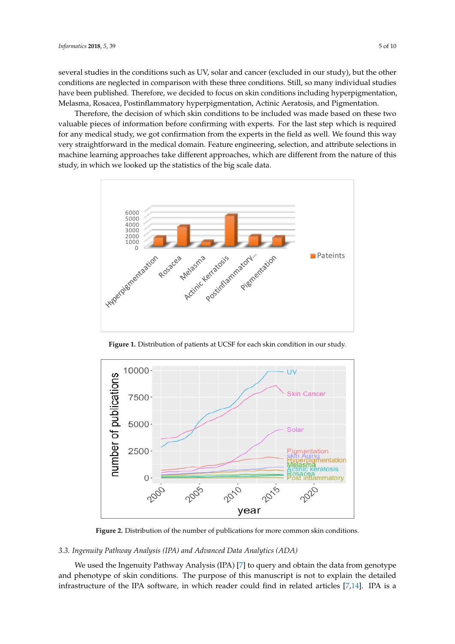several studies in the conditions such as UV, solar and cancer (excluded in our study), but the other conditions are neglected in comparison with these three conditions. Still, so many individual studies have been published. Therefore, we decided to focus on skin conditions including hyperpigmentation, Melasma, Rosacea, Postinflammatory hyperpigmentation, Actinic Aeratosis, and Pigmentation.

Therefore, the decision of which skin conditions to be included was made based on these two valuable pieces of information before confirming with experts. For the last step which is required for any medical study, we got confirmation from the experts in the field as well. We found this way very straightforward in the medical domain. Feature engineering, selection, and attribute selections in machine learning approaches take different approaches, which are different from the nature of this study, in which we looked up the statistics of the big scale data.

<span id="page-4-0"></span>

**Figure 1.** Distribution of patients at UCSF for each skin condition in our study.

<span id="page-4-1"></span>

**Figure 2.** Distribution of the number of publications for more common skin conditions.

### *3.3. Ingenuity Pathway Analysis (IPA) and Advanced Data Analytics (ADA)*

We used the Ingenuity Pathway Analysis (IPA) [\[7\]](#page-8-4) to query and obtain the data from genotype and phenotype of skin conditions. The purpose of this manuscript is not to explain the detailed infrastructure of the IPA software, in which reader could find in related articles [\[7](#page-8-4)[,14\]](#page-8-11). IPA is a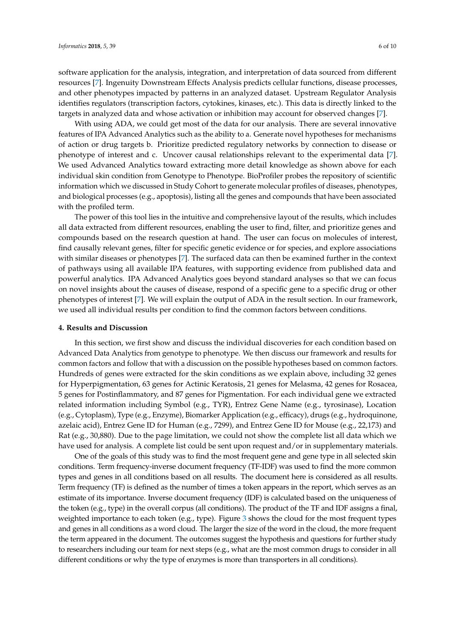software application for the analysis, integration, and interpretation of data sourced from different resources [\[7\]](#page-8-4). Ingenuity Downstream Effects Analysis predicts cellular functions, disease processes, and other phenotypes impacted by patterns in an analyzed dataset. Upstream Regulator Analysis identifies regulators (transcription factors, cytokines, kinases, etc.). This data is directly linked to the targets in analyzed data and whose activation or inhibition may account for observed changes [\[7\]](#page-8-4).

With using ADA, we could get most of the data for our analysis. There are several innovative features of IPA Advanced Analytics such as the ability to a. Generate novel hypotheses for mechanisms of action or drug targets b. Prioritize predicted regulatory networks by connection to disease or phenotype of interest and c. Uncover causal relationships relevant to the experimental data [\[7\]](#page-8-4). We used Advanced Analytics toward extracting more detail knowledge as shown above for each individual skin condition from Genotype to Phenotype. BioProfiler probes the repository of scientific information which we discussed in Study Cohort to generate molecular profiles of diseases, phenotypes, and biological processes (e.g., apoptosis), listing all the genes and compounds that have been associated with the profiled term.

The power of this tool lies in the intuitive and comprehensive layout of the results, which includes all data extracted from different resources, enabling the user to find, filter, and prioritize genes and compounds based on the research question at hand. The user can focus on molecules of interest, find causally relevant genes, filter for specific genetic evidence or for species, and explore associations with similar diseases or phenotypes [\[7\]](#page-8-4). The surfaced data can then be examined further in the context of pathways using all available IPA features, with supporting evidence from published data and powerful analytics. IPA Advanced Analytics goes beyond standard analyses so that we can focus on novel insights about the causes of disease, respond of a specific gene to a specific drug or other phenotypes of interest [\[7\]](#page-8-4). We will explain the output of ADA in the result section. In our framework, we used all individual results per condition to find the common factors between conditions.

#### **4. Results and Discussion**

In this section, we first show and discuss the individual discoveries for each condition based on Advanced Data Analytics from genotype to phenotype. We then discuss our framework and results for common factors and follow that with a discussion on the possible hypotheses based on common factors. Hundreds of genes were extracted for the skin conditions as we explain above, including 32 genes for Hyperpigmentation, 63 genes for Actinic Keratosis, 21 genes for Melasma, 42 genes for Rosacea, 5 genes for Postinflammatory, and 87 genes for Pigmentation. For each individual gene we extracted related information including Symbol (e.g., TYR), Entrez Gene Name (e.g., tyrosinase), Location (e.g., Cytoplasm), Type (e.g., Enzyme), Biomarker Application (e.g., efficacy), drugs (e.g., hydroquinone, azelaic acid), Entrez Gene ID for Human (e.g., 7299), and Entrez Gene ID for Mouse (e.g., 22,173) and Rat (e.g., 30,880). Due to the page limitation, we could not show the complete list all data which we have used for analysis. A complete list could be sent upon request and/or in supplementary materials.

One of the goals of this study was to find the most frequent gene and gene type in all selected skin conditions. Term frequency-inverse document frequency (TF-IDF) was used to find the more common types and genes in all conditions based on all results. The document here is considered as all results. Term frequency (TF) is defined as the number of times a token appears in the report, which serves as an estimate of its importance. Inverse document frequency (IDF) is calculated based on the uniqueness of the token (e.g., type) in the overall corpus (all conditions). The product of the TF and IDF assigns a final, weighted importance to each token (e.g., type). Figure [3](#page-6-0) shows the cloud for the most frequent types and genes in all conditions as a word cloud. The larger the size of the word in the cloud, the more frequent the term appeared in the document. The outcomes suggest the hypothesis and questions for further study to researchers including our team for next steps (e.g., what are the most common drugs to consider in all different conditions or why the type of enzymes is more than transporters in all conditions).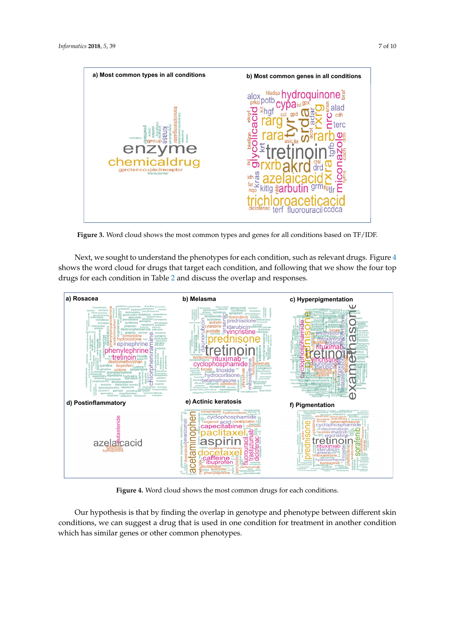<span id="page-6-0"></span>

**Figure 3.** Word cloud shows the most common types and genes for all conditions based on TF/IDF.

Next, we sought to understand the phenotypes for each condition, such as relevant drugs. Figure [4](#page-6-1) shows the word cloud for drugs that target each condition, and following that we show the four top drugs for each condition in Table [2](#page-7-0) and discuss the overlap and responses.

<span id="page-6-1"></span>

**Figure 4.** Word cloud shows the most common drugs for each conditions.

Our hypothesis is that by finding the overlap in genotype and phenotype between different skin conditions, we can suggest a drug that is used in one condition for treatment in another condition which has similar genes or other common phenotypes.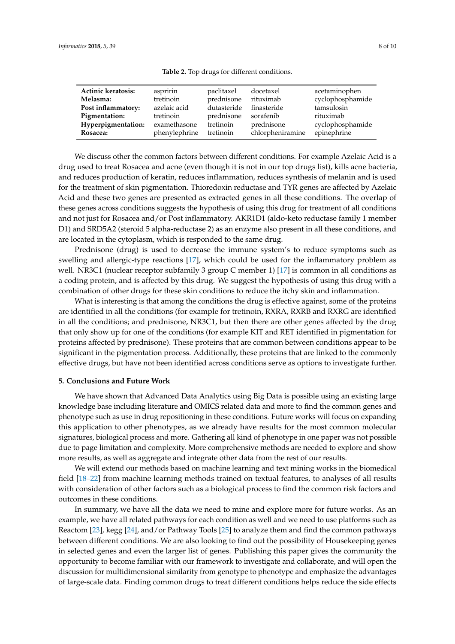<span id="page-7-0"></span>

| Actinic keratosis: | aspririn      | paclitaxel  | docetaxel        | acetaminophen    |
|--------------------|---------------|-------------|------------------|------------------|
| Melasma:           | tretinoin     | prednisone  | rituximab        | cyclophosphamide |
| Post inflammatory: | azelaic acid  | dutasteride | finasteride      | tamsulosin       |
| Pigmentation:      | tretinoin     | prednisone  | sorafenib        | rituximab        |
| Hyperpigmentation: | examethasone  | tretinoin   | prednisone       | cyclophosphamide |
| Rosacea:           | phenylephrine | tretinoin   | chlorpheniramine | epinephrine      |

**Table 2.** Top drugs for different conditions.

We discuss other the common factors between different conditions. For example Azelaic Acid is a drug used to treat Rosacea and acne (even though it is not in our top drugs list), kills acne bacteria, and reduces production of keratin, reduces inflammation, reduces synthesis of melanin and is used for the treatment of skin pigmentation. Thioredoxin reductase and TYR genes are affected by Azelaic Acid and these two genes are presented as extracted genes in all these conditions. The overlap of these genes across conditions suggests the hypothesis of using this drug for treatment of all conditions and not just for Rosacea and/or Post inflammatory. AKR1D1 (aldo-keto reductase family 1 member D1) and SRD5A2 (steroid 5 alpha-reductase 2) as an enzyme also present in all these conditions, and are located in the cytoplasm, which is responded to the same drug.

Prednisone (drug) is used to decrease the immune system's to reduce symptoms such as swelling and allergic-type reactions [\[17\]](#page-9-2), which could be used for the inflammatory problem as well. NR3C1 (nuclear receptor subfamily 3 group C member 1) [\[17\]](#page-9-2) is common in all conditions as a coding protein, and is affected by this drug. We suggest the hypothesis of using this drug with a combination of other drugs for these skin conditions to reduce the itchy skin and inflammation.

What is interesting is that among the conditions the drug is effective against, some of the proteins are identified in all the conditions (for example for tretinoin, RXRA, RXRB and RXRG are identified in all the conditions; and prednisone, NR3C1, but then there are other genes affected by the drug that only show up for one of the conditions (for example KIT and RET identified in pigmentation for proteins affected by prednisone). These proteins that are common between conditions appear to be significant in the pigmentation process. Additionally, these proteins that are linked to the commonly effective drugs, but have not been identified across conditions serve as options to investigate further.

## **5. Conclusions and Future Work**

We have shown that Advanced Data Analytics using Big Data is possible using an existing large knowledge base including literature and OMICS related data and more to find the common genes and phenotype such as use in drug repositioning in these conditions. Future works will focus on expanding this application to other phenotypes, as we already have results for the most common molecular signatures, biological process and more. Gathering all kind of phenotype in one paper was not possible due to page limitation and complexity. More comprehensive methods are needed to explore and show more results, as well as aggregate and integrate other data from the rest of our results.

We will extend our methods based on machine learning and text mining works in the biomedical field [\[18](#page-9-3)[–22\]](#page-9-4) from machine learning methods trained on textual features, to analyses of all results with consideration of other factors such as a biological process to find the common risk factors and outcomes in these conditions.

In summary, we have all the data we need to mine and explore more for future works. As an example, we have all related pathways for each condition as well and we need to use platforms such as Reactom [\[23\]](#page-9-5), kegg [\[24\]](#page-9-6), and/or Pathway Tools [\[25\]](#page-9-7) to analyze them and find the common pathways between different conditions. We are also looking to find out the possibility of Housekeeping genes in selected genes and even the larger list of genes. Publishing this paper gives the community the opportunity to become familiar with our framework to investigate and collaborate, and will open the discussion for multidimensional similarity from genotype to phenotype and emphasize the advantages of large-scale data. Finding common drugs to treat different conditions helps reduce the side effects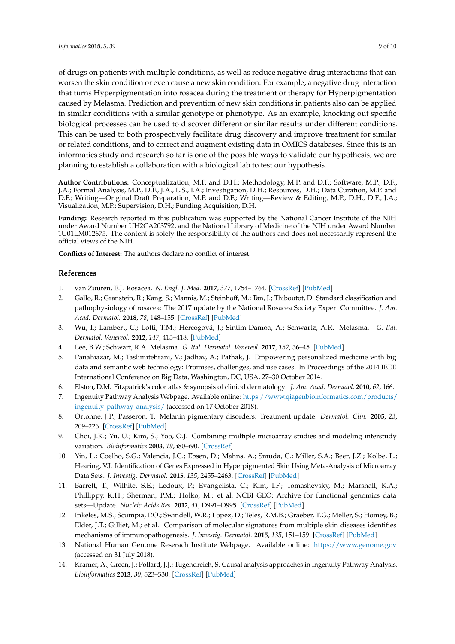of drugs on patients with multiple conditions, as well as reduce negative drug interactions that can worsen the skin condition or even cause a new skin condition. For example, a negative drug interaction that turns Hyperpigmentation into rosacea during the treatment or therapy for Hyperpigmentation caused by Melasma. Prediction and prevention of new skin conditions in patients also can be applied in similar conditions with a similar genotype or phenotype. As an example, knocking out specific biological processes can be used to discover different or similar results under different conditions. This can be used to both prospectively facilitate drug discovery and improve treatment for similar or related conditions, and to correct and augment existing data in OMICS databases. Since this is an informatics study and research so far is one of the possible ways to validate our hypothesis, we are planning to establish a collaboration with a biological lab to test our hypothesis.

**Author Contributions:** Conceptualization, M.P. and D.H.; Methodology, M.P. and D.F.; Software, M.P., D.F., J.A.; Formal Analysis, M.P., D.F., J.A., L.S., I.A.; Investigation, D.H.; Resources, D.H.; Data Curation, M.P. and D.F.; Writing—Original Draft Preparation, M.P. and D.F.; Writing—Review & Editing, M.P., D.H., D.F., J.A.; Visualization, M.P.; Supervision, D.H.; Funding Acquisition, D.H.

**Funding:** Research reported in this publication was supported by the National Cancer Institute of the NIH under Award Number UH2CA203792, and the National Library of Medicine of the NIH under Award Number 1U01LM012675. The content is solely the responsibility of the authors and does not necessarily represent the official views of the NIH.

**Conflicts of Interest:** The authors declare no conflict of interest.

## **References**

- <span id="page-8-0"></span>1. van Zuuren, E.J. Rosacea. *N. Engl. J. Med.* **2017**, *377*, 1754–1764. [\[CrossRef\]](http://dx.doi.org/10.1056/NEJMcp1506630) [\[PubMed\]](http://www.ncbi.nlm.nih.gov/pubmed/29091565)
- 2. Gallo, R.; Granstein, R.; Kang, S.; Mannis, M.; Steinhoff, M.; Tan, J.; Thiboutot, D. Standard classification and pathophysiology of rosacea: The 2017 update by the National Rosacea Society Expert Committee. *J. Am. Acad. Dermatol.* **2018**, *78*, 148–155. [\[CrossRef\]](http://dx.doi.org/10.1016/j.jaad.2017.08.037) [\[PubMed\]](http://www.ncbi.nlm.nih.gov/pubmed/29089180)
- 3. Wu, I.; Lambert, C.; Lotti, T.M.; Hercogová, J.; Sintim-Damoa, A.; Schwartz, A.R. Melasma. *G. Ital. Dermatol. Venereol.* **2012**, *147*, 413–418. [\[PubMed\]](http://www.ncbi.nlm.nih.gov/pubmed/23007216)
- <span id="page-8-1"></span>4. Lee, B.W.; Schwart, R.A. Melasma. *G. Ital. Dermatol. Venereol.* **2017**, *152*, 36–45. [\[PubMed\]](http://www.ncbi.nlm.nih.gov/pubmed/27589484)
- <span id="page-8-2"></span>5. Panahiazar, M.; Taslimitehrani, V.; Jadhav, A.; Pathak, J. Empowering personalized medicine with big data and semantic web technology: Promises, challenges, and use cases. In Proceedings of the 2014 IEEE International Conference on Big Data, Washington, DC, USA, 27–30 October 2014.
- <span id="page-8-3"></span>6. Elston, D.M. Fitzpatrick's color atlas & synopsis of clinical dermatology. *J. Am. Acad. Dermatol.* **2010**, *62*, 166.
- <span id="page-8-4"></span>7. Ingenuity Pathway Analysis Webpage. Available online: [https://www.qiagenbioinformatics.com/products/](https://www.qiagenbioinformatics.com/products/ingenuity-pathway-analysis/ ) [ingenuity-pathway-analysis/](https://www.qiagenbioinformatics.com/products/ingenuity-pathway-analysis/ ) (accessed on 17 October 2018).
- <span id="page-8-5"></span>8. Ortonne, J.P.; Passeron, T. Melanin pigmentary disorders: Treatment update. *Dermatol. Clin.* **2005**, *23*, 209–226. [\[CrossRef\]](http://dx.doi.org/10.1016/j.det.2005.01.001) [\[PubMed\]](http://www.ncbi.nlm.nih.gov/pubmed/15837152)
- <span id="page-8-6"></span>9. Choi, J.K.; Yu, U.; Kim, S.; Yoo, O.J. Combining multiple microarray studies and modeling interstudy variation. *Bioinformatics* **2003**, *19*, i80–i90. [\[CrossRef\]](http://dx.doi.org/10.1093/bioinformatics/btg1010)
- <span id="page-8-7"></span>10. Yin, L.; Coelho, S.G.; Valencia, J.C.; Ebsen, D.; Mahns, A.; Smuda, C.; Miller, S.A.; Beer, J.Z.; Kolbe, L.; Hearing, V.J. Identification of Genes Expressed in Hyperpigmented Skin Using Meta-Analysis of Microarray Data Sets. *J. Investig. Dermatol.* **2015**, *135*, 2455–2463. [\[CrossRef\]](http://dx.doi.org/10.1038/jid.2015.179) [\[PubMed\]](http://www.ncbi.nlm.nih.gov/pubmed/25950827)
- <span id="page-8-8"></span>11. Barrett, T.; Wilhite, S.E.; Ledoux, P.; Evangelista, C.; Kim, I.F.; Tomashevsky, M.; Marshall, K.A.; Phillippy, K.H.; Sherman, P.M.; Holko, M.; et al. NCBI GEO: Archive for functional genomics data sets—Update. *Nucleic Acids Res.* **2012**, *41*, D991–D995. [\[CrossRef\]](http://dx.doi.org/10.1093/nar/gks1193) [\[PubMed\]](http://www.ncbi.nlm.nih.gov/pubmed/23193258)
- <span id="page-8-9"></span>12. Inkeles, M.S.; Scumpia, P.O.; Swindell, W.R.; Lopez, D.; Teles, R.M.B.; Graeber, T.G.; Meller, S.; Homey, B.; Elder, J.T.; Gilliet, M.; et al. Comparison of molecular signatures from multiple skin diseases identifies mechanisms of immunopathogenesis. *J. Investig. Dermatol.* **2015**, *135*, 151–159. [\[CrossRef\]](http://dx.doi.org/10.1038/jid.2014.352) [\[PubMed\]](http://www.ncbi.nlm.nih.gov/pubmed/25111617)
- <span id="page-8-10"></span>13. National Human Genome Reserach Institute Webpage. Available online: [https://www.genome.gov](https://www.genome.gov ) (accessed on 31 July 2018).
- <span id="page-8-11"></span>14. Kramer, A.; Green, J.; Pollard, J.J.; Tugendreich, S. Causal analysis approaches in Ingenuity Pathway Analysis. *Bioinformatics* **2013**, *30*, 523–530. [\[CrossRef\]](http://dx.doi.org/10.1093/bioinformatics/btt703) [\[PubMed\]](http://www.ncbi.nlm.nih.gov/pubmed/24336805)